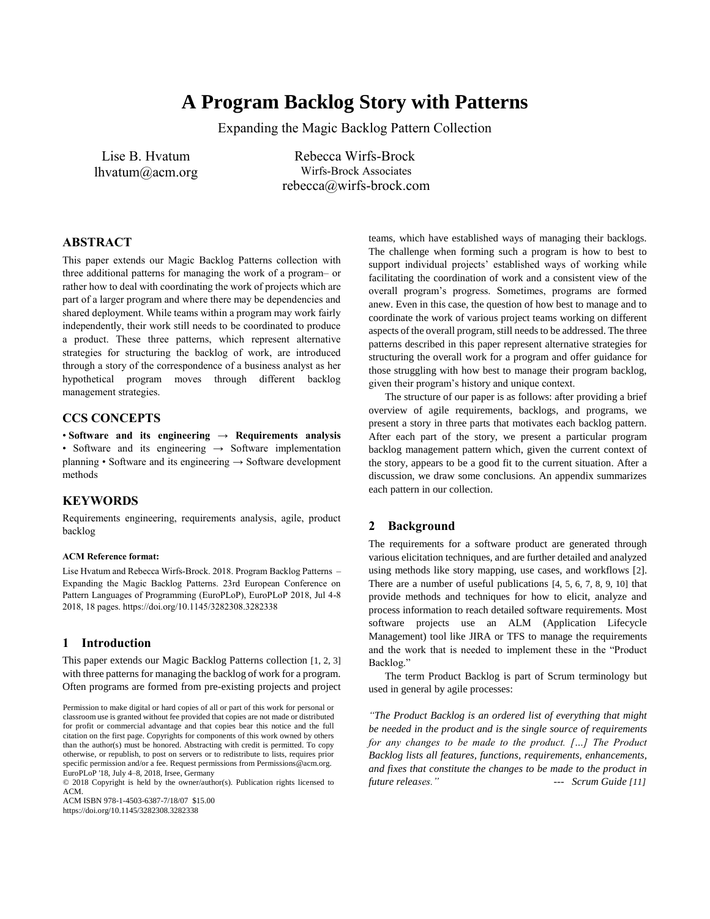# **A Program Backlog Story with Patterns**

Expanding the Magic Backlog Pattern Collection

Lise B. Hvatum lhvatum@acm.org

Rebecca Wirfs-Brock Wirfs-Brock Associates rebecca@wirfs-brock.com

## **ABSTRACT**

This paper extends our Magic Backlog Patterns collection with three additional patterns for managing the work of a program– or rather how to deal with coordinating the work of projects which are part of a larger program and where there may be dependencies and shared deployment. While teams within a program may work fairly independently, their work still needs to be coordinated to produce a product. These three patterns, which represent alternative strategies for structuring the backlog of work, are introduced through a story of the correspondence of a business analyst as her hypothetical program moves through different backlog management strategies.

## **CCS CONCEPTS**

• **Software and its engineering** → **Requirements analysis** • Software and its engineering  $\rightarrow$  Software implementation planning • Software and its engineering  $\rightarrow$  Software development methods

## **KEYWORDS**

Requirements engineering, requirements analysis, agile, product backlog

### **ACM Reference format:**

Lise Hvatum and Rebecca Wirfs-Brock. 2018. Program Backlog Patterns – Expanding the Magic Backlog Patterns. 23rd European Conference on Pattern Languages of Programming (EuroPLoP), EuroPLoP 2018, Jul 4-8 2018, 18 pages. https://doi.org/10.1145/3282308.3282338

### **1 Introduction**

This paper extends our Magic Backlog Patterns collection [1, 2, 3] with three patterns for managing the backlog of work for a program. Often programs are formed from pre-existing projects and project

© 2018 Copyright is held by the owner/author(s). Publication rights licensed to ACM.

ACM ISBN 978-1-4503-6387-7/18/07 \$15.00

https://doi.org/10.1145/3282308.3282338

teams, which have established ways of managing their backlogs. The challenge when forming such a program is how to best to support individual projects' established ways of working while facilitating the coordination of work and a consistent view of the overall program's progress. Sometimes, programs are formed anew. Even in this case, the question of how best to manage and to coordinate the work of various project teams working on different aspects of the overall program, still needs to be addressed. The three patterns described in this paper represent alternative strategies for structuring the overall work for a program and offer guidance for those struggling with how best to manage their program backlog, given their program's history and unique context.

The structure of our paper is as follows: after providing a brief overview of agile requirements, backlogs, and programs, we present a story in three parts that motivates each backlog pattern. After each part of the story, we present a particular program backlog management pattern which, given the current context of the story, appears to be a good fit to the current situation. After a discussion, we draw some conclusions. An appendix summarizes each pattern in our collection.

## **2 Background**

The requirements for a software product are generated through various elicitation techniques, and are further detailed and analyzed using methods like story mapping, use cases, and workflows [2]. There are a number of useful publications [4, 5, 6, 7, 8, 9, 10] that provide methods and techniques for how to elicit, analyze and process information to reach detailed software requirements. Most software projects use an ALM (Application Lifecycle Management) tool like JIRA or TFS to manage the requirements and the work that is needed to implement these in the "Product Backlog."

The term Product Backlog is part of Scrum terminology but used in general by agile processes:

*"The Product Backlog is an ordered list of everything that might be needed in the product and is the single source of requirements for any changes to be made to the product. [...] The Product Backlog lists all features, functions, requirements, enhancements, and fixes that constitute the changes to be made to the product in future releases." --- Scrum Guide [11]*

Permission to make digital or hard copies of all or part of this work for personal or classroom use is granted without fee provided that copies are not made or distributed for profit or commercial advantage and that copies bear this notice and the full citation on the first page. Copyrights for components of this work owned by others than the author(s) must be honored. Abstracting with credit is permitted. To copy otherwise, or republish, to post on servers or to redistribute to lists, requires prior specific permission and/or a fee. Request permissions from Permissions@acm.org. EuroPLoP '18, July 4–8, 2018, Irsee, Germany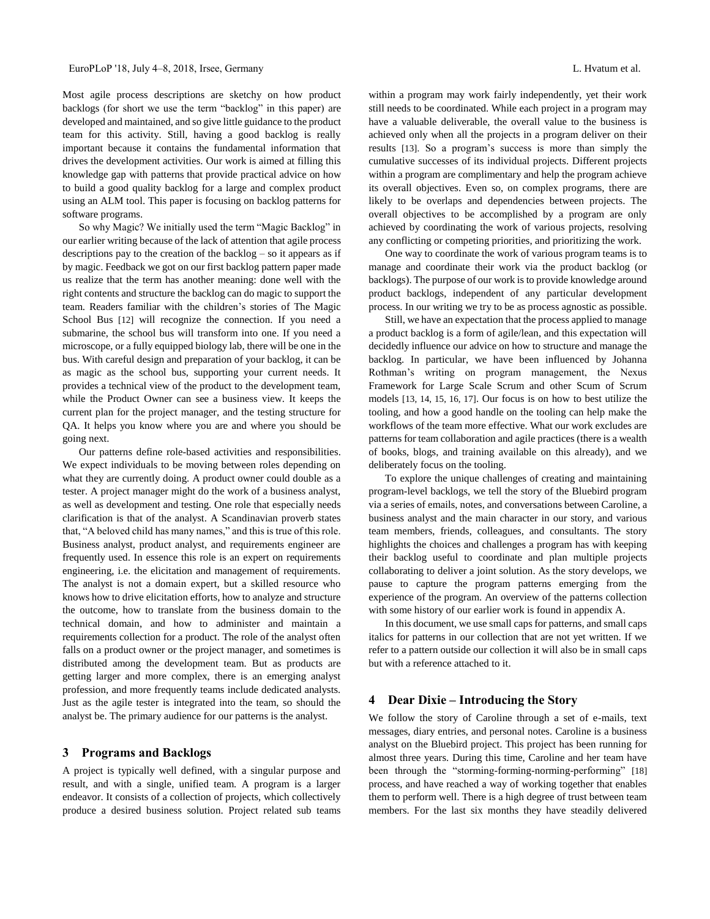Most agile process descriptions are sketchy on how product backlogs (for short we use the term "backlog" in this paper) are developed and maintained, and so give little guidance to the product team for this activity. Still, having a good backlog is really important because it contains the fundamental information that drives the development activities. Our work is aimed at filling this knowledge gap with patterns that provide practical advice on how to build a good quality backlog for a large and complex product using an ALM tool. This paper is focusing on backlog patterns for software programs.

So why Magic? We initially used the term "Magic Backlog" in our earlier writing because of the lack of attention that agile process descriptions pay to the creation of the backlog – so it appears as if by magic. Feedback we got on our first backlog pattern paper made us realize that the term has another meaning: done well with the right contents and structure the backlog can do magic to support the team. Readers familiar with the children's stories of The Magic School Bus [12] will recognize the connection. If you need a submarine, the school bus will transform into one. If you need a microscope, or a fully equipped biology lab, there will be one in the bus. With careful design and preparation of your backlog, it can be as magic as the school bus, supporting your current needs. It provides a technical view of the product to the development team, while the Product Owner can see a business view. It keeps the current plan for the project manager, and the testing structure for QA. It helps you know where you are and where you should be going next.

Our patterns define role-based activities and responsibilities. We expect individuals to be moving between roles depending on what they are currently doing. A product owner could double as a tester. A project manager might do the work of a business analyst, as well as development and testing. One role that especially needs clarification is that of the analyst. A Scandinavian proverb states that, "A beloved child has many names," and this is true of this role. Business analyst, product analyst, and requirements engineer are frequently used. In essence this role is an expert on requirements engineering, i.e. the elicitation and management of requirements. The analyst is not a domain expert, but a skilled resource who knows how to drive elicitation efforts, how to analyze and structure the outcome, how to translate from the business domain to the technical domain, and how to administer and maintain a requirements collection for a product. The role of the analyst often falls on a product owner or the project manager, and sometimes is distributed among the development team. But as products are getting larger and more complex, there is an emerging analyst profession, and more frequently teams include dedicated analysts. Just as the agile tester is integrated into the team, so should the analyst be. The primary audience for our patterns is the analyst.

### **3 Programs and Backlogs**

A project is typically well defined, with a singular purpose and result, and with a single, unified team. A program is a larger endeavor. It consists of a collection of projects, which collectively produce a desired business solution. Project related sub teams

within a program may work fairly independently, yet their work still needs to be coordinated. While each project in a program may have a valuable deliverable, the overall value to the business is achieved only when all the projects in a program deliver on their results [13]. So a program's success is more than simply the cumulative successes of its individual projects. Different projects within a program are complimentary and help the program achieve its overall objectives. Even so, on complex programs, there are likely to be overlaps and dependencies between projects. The overall objectives to be accomplished by a program are only achieved by coordinating the work of various projects, resolving any conflicting or competing priorities, and prioritizing the work.

One way to coordinate the work of various program teams is to manage and coordinate their work via the product backlog (or backlogs). The purpose of our work is to provide knowledge around product backlogs, independent of any particular development process. In our writing we try to be as process agnostic as possible.

Still, we have an expectation that the process applied to manage a product backlog is a form of agile/lean, and this expectation will decidedly influence our advice on how to structure and manage the backlog. In particular, we have been influenced by Johanna Rothman's writing on program management, the Nexus Framework for Large Scale Scrum and other Scum of Scrum models [13, 14, 15, 16, 17]. Our focus is on how to best utilize the tooling, and how a good handle on the tooling can help make the workflows of the team more effective. What our work excludes are patterns for team collaboration and agile practices (there is a wealth of books, blogs, and training available on this already), and we deliberately focus on the tooling.

To explore the unique challenges of creating and maintaining program-level backlogs, we tell the story of the Bluebird program via a series of emails, notes, and conversations between Caroline, a business analyst and the main character in our story, and various team members, friends, colleagues, and consultants. The story highlights the choices and challenges a program has with keeping their backlog useful to coordinate and plan multiple projects collaborating to deliver a joint solution. As the story develops, we pause to capture the program patterns emerging from the experience of the program. An overview of the patterns collection with some history of our earlier work is found in appendix A.

In this document, we use small caps for patterns, and small caps italics for patterns in our collection that are not yet written. If we refer to a pattern outside our collection it will also be in small caps but with a reference attached to it.

### **4 Dear Dixie – Introducing the Story**

We follow the story of Caroline through a set of e-mails, text messages, diary entries, and personal notes. Caroline is a business analyst on the Bluebird project. This project has been running for almost three years. During this time, Caroline and her team have been through the "storming-forming-norming-performing" [18] process, and have reached a way of working together that enables them to perform well. There is a high degree of trust between team members. For the last six months they have steadily delivered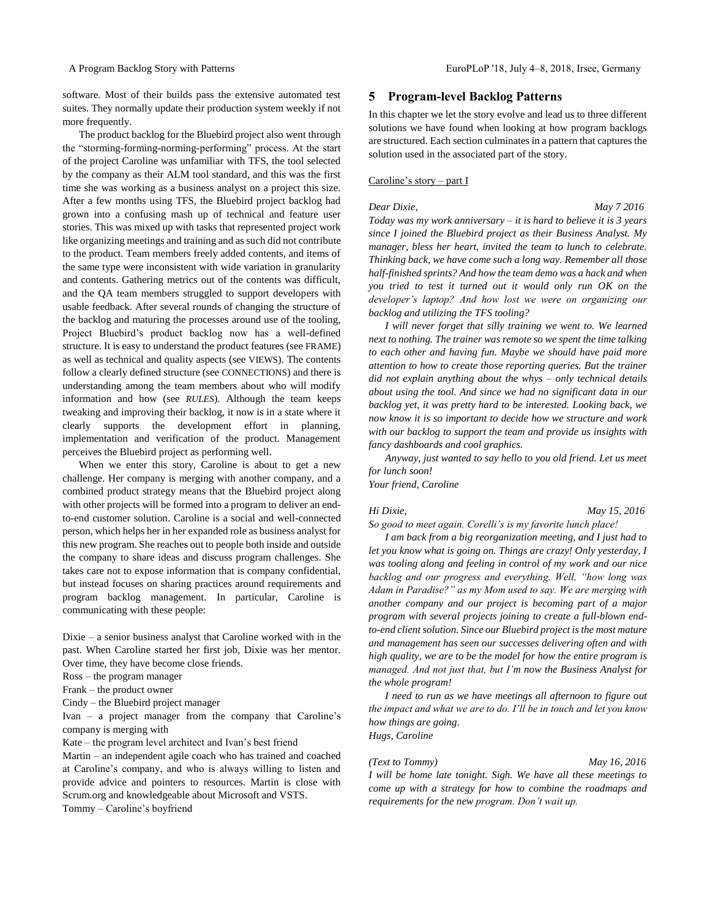software. Most of their builds pass the extensive automated test suites. They normally update their production system weekly if not more frequently.

The product backlog for the Bluebird project also went through the "storming-forming-norming-performing" process. At the start of the project Caroline was unfamiliar with TFS, the tool selected by the company as their ALM tool standard, and this was the first time she was working as a business analyst on a project this size. After a few months using TFS, the Bluebird project backlog had grown into a confusing mash up of technical and feature user stories. This was mixed up with tasks that represented project work like organizing meetings and training and as such did not contribute to the product. Team members freely added contents, and items of the same type were inconsistent with wide variation in granularity and contents. Gathering metrics out of the contents was difficult, and the QA team members struggled to support developers with usable feedback. After several rounds of changing the structure of the backlog and maturing the processes around use of the tooling, Project Bluebird's product backlog now has a well-defined structure. It is easy to understand the product features (see FRAME) as well as technical and quality aspects (see VIEWS). The contents follow a clearly defined structure (see CONNECTIONS) and there is understanding among the team members about who will modify information and how (see *RULES*). Although the team keeps tweaking and improving their backlog, it now is in a state where it clearly supports the development effort in planning, implementation and verification of the product. Management perceives the Bluebird project as performing well.

When we enter this story, Caroline is about to get a new challenge. Her company is merging with another company, and a combined product strategy means that the Bluebird project along with other projects will be formed into a program to deliver an endto-end customer solution. Caroline is a social and well-connected person, which helps her in her expanded role as business analyst for this new program. She reaches out to people both inside and outside the company to share ideas and discuss program challenges. She takes care not to expose information that is company confidential, but instead focuses on sharing practices around requirements and program backlog management. In particular, Caroline is communicating with these people:

Dixie – a senior business analyst that Caroline worked with in the past. When Caroline started her first job, Dixie was her mentor. Over time, they have become close friends.

Ross – the program manager

Frank – the product owner

Cindy – the Bluebird project manager

Ivan – a project manager from the company that Caroline's company is merging with

Kate – the program level architect and Ivan's best friend

Martin – an independent agile coach who has trained and coached at Caroline's company, and who is always willing to listen and provide advice and pointers to resources. Martin is close with Scrum.org and knowledgeable about Microsoft and VSTS. Tommy – Caroline's boyfriend

### **5 Program-level Backlog Patterns**

In this chapter we let the story evolve and lead us to three different solutions we have found when looking at how program backlogs are structured. Each section culminates in a pattern that captures the solution used in the associated part of the story.

### Caroline's story – part I

*Dear Dixie, May 7 2016 Today was my work anniversary – it is hard to believe it is 3 years since I joined the Bluebird project as their Business Analyst. My manager, bless her heart, invited the team to lunch to celebrate. Thinking back, we have come such a long way. Remember all those half-finished sprints? And how the team demo was a hack and when you tried to test it turned out it would only run OK on the developer's laptop? And how lost we were on organizing our backlog and utilizing the TFS tooling?* 

*I will never forget that silly training we went to. We learned next to nothing. The trainer was remote so we spent the time talking to each other and having fun. Maybe we should have paid more attention to how to create those reporting queries. But the trainer did not explain anything about the whys – only technical details about using the tool. And since we had no significant data in our backlog yet, it was pretty hard to be interested. Looking back, we now know it is so important to decide how we structure and work with our backlog to support the team and provide us insights with fancy dashboards and cool graphics.* 

*Anyway, just wanted to say hello to you old friend. Let us meet for lunch soon!*

*Your friend, Caroline*

### *Hi Dixie, May 15, 2016*

*So good to meet again. Corelli's is my favorite lunch place!* 

*I am back from a big reorganization meeting, and I just had to let you know what is going on. Things are crazy! Only yesterday, I was tooling along and feeling in control of my work and our nice backlog and our progress and everything. Well, "how long was Adam in Paradise?" as my Mom used to say. We are merging with another company and our project is becoming part of a major program with several projects joining to create a full-blown endto-end client solution. Since our Bluebird project is the most mature and management has seen our successes delivering often and with high quality, we are to be the model for how the entire program is managed. And not just that, but I'm now the Business Analyst for the whole program!* 

*I need to run as we have meetings all afternoon to figure out the impact and what we are to do. I'll be in touch and let you know how things are going. Hugs, Caroline*

### *(Text to Tommy) May 16, 2016*

*I will be home late tonight. Sigh. We have all these meetings to come up with a strategy for how to combine the roadmaps and requirements for the new program. Don't wait up.*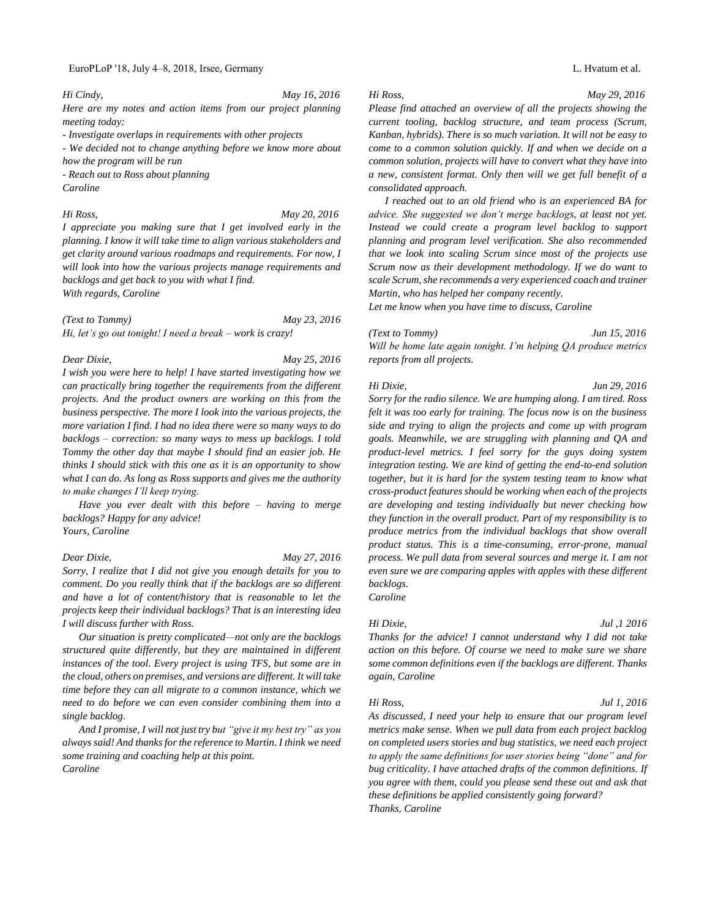## EuroPLoP '18, July 4–8, 2018, Irsee, Germany L. Hvatum et al.

*Hi Cindy, May 16, 2016 Here are my notes and action items from our project planning meeting today:*

*- Investigate overlaps in requirements with other projects* 

*- We decided not to change anything before we know more about how the program will be run*

*- Reach out to Ross about planning Caroline*

*Hi Ross, May 20, 2016*

*I appreciate you making sure that I get involved early in the planning. I know it will take time to align various stakeholders and get clarity around various roadmaps and requirements. For now, I will look into how the various projects manage requirements and backlogs and get back to you with what I find. With regards, Caroline*

*(Text to Tommy) May 23, 2016 Hi, let's go out tonight! I need a break – work is crazy!*

*Dear Dixie, May 25, 2016 I wish you were here to help! I have started investigating how we can practically bring together the requirements from the different projects. And the product owners are working on this from the business perspective. The more I look into the various projects, the more variation I find. I had no idea there were so many ways to do backlogs – correction: so many ways to mess up backlogs. I told Tommy the other day that maybe I should find an easier job. He thinks I should stick with this one as it is an opportunity to show what I can do. As long as Ross supports and gives me the authority to make changes I'll keep trying.*

*Have you ever dealt with this before – having to merge backlogs? Happy for any advice!*

*Yours, Caroline*

*I will discuss further with Ross.* 

*Sorry, I realize that I did not give you enough details for you to comment. Do you really think that if the backlogs are so different and have a lot of content/history that is reasonable to let the projects keep their individual backlogs? That is an interesting idea* 

*Our situation is pretty complicated—not only are the backlogs structured quite differently, but they are maintained in different instances of the tool. Every project is using TFS, but some are in the cloud, others on premises, and versions are different. It will take time before they can all migrate to a common instance, which we need to do before we can even consider combining them into a single backlog.* 

*And I promise, I will not just try but "give it my best try" as you always said! And thanks for the reference to Martin. I think we need some training and coaching help at this point.*

*Caroline*

*Dear Dixie, May 27, 2016*

*Please find attached an overview of all the projects showing the current tooling, backlog structure, and team process (Scrum, Kanban, hybrids). There is so much variation. It will not be easy to come to a common solution quickly. If and when we decide on a common solution, projects will have to convert what they have into a new, consistent format. Only then will we get full benefit of a consolidated approach.*

*I reached out to an old friend who is an experienced BA for advice. She suggested we don't merge backlogs, at least not yet. Instead we could create a program level backlog to support planning and program level verification. She also recommended that we look into scaling Scrum since most of the projects use Scrum now as their development methodology. If we do want to scale Scrum, she recommends a very experienced coach and trainer Martin, who has helped her company recently.* 

*Let me know when you have time to discuss, Caroline*

## *(Text to Tommy) Jun 15, 2016*

*Will be home late again tonight. I'm helping QA produce metrics reports from all projects.*

### *Hi Dixie, Jun 29, 2016*

*Sorry for the radio silence. We are humping along. I am tired. Ross felt it was too early for training. The focus now is on the business side and trying to align the projects and come up with program goals. Meanwhile, we are struggling with planning and QA and product-level metrics. I feel sorry for the guys doing system integration testing. We are kind of getting the end-to-end solution together, but it is hard for the system testing team to know what cross-product features should be working when each of the projects are developing and testing individually but never checking how they function in the overall product. Part of my responsibility is to produce metrics from the individual backlogs that show overall product status. This is a time-consuming, error-prone, manual process. We pull data from several sources and merge it. I am not even sure we are comparing apples with apples with these different backlogs.* 

*Caroline*

## *Hi Dixie, Jul ,1 2016*

*Thanks for the advice! I cannot understand why I did not take action on this before. Of course we need to make sure we share some common definitions even if the backlogs are different. Thanks again, Caroline*

### *Hi Ross, Jul 1, 2016*

*As discussed, I need your help to ensure that our program level metrics make sense. When we pull data from each project backlog on completed users stories and bug statistics, we need each project to apply the same definitions for user stories being "done" and for bug criticality. I have attached drafts of the common definitions. If you agree with them, could you please send these out and ask that these definitions be applied consistently going forward? Thanks, Caroline*

*Hi Ross, May 29, 2016*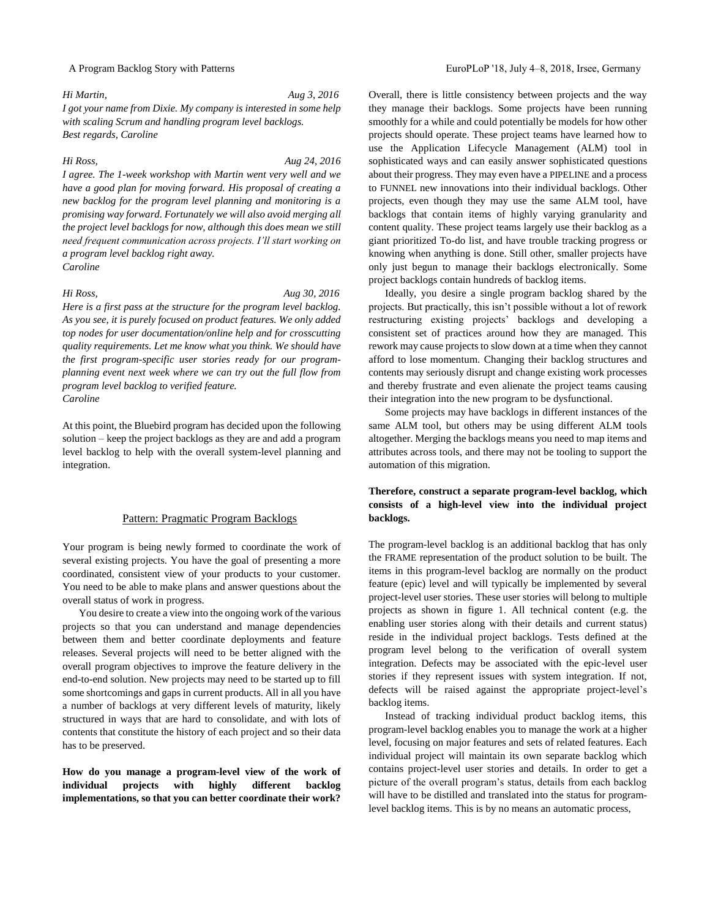## *Hi Martin, Aug 3, 2016 I got your name from Dixie. My company is interested in some help with scaling Scrum and handling program level backlogs. Best regards, Caroline*

*Hi Ross, Aug 24, 2016*

*I agree. The 1-week workshop with Martin went very well and we have a good plan for moving forward. His proposal of creating a new backlog for the program level planning and monitoring is a promising way forward. Fortunately we will also avoid merging all the project level backlogs for now, although this does mean we still need frequent communication across projects. I'll start working on a program level backlog right away. Caroline*

### *Hi Ross, Aug 30, 2016*

*Here is a first pass at the structure for the program level backlog. As you see, it is purely focused on product features. We only added top nodes for user documentation/online help and for crosscutting quality requirements. Let me know what you think. We should have the first program-specific user stories ready for our programplanning event next week where we can try out the full flow from program level backlog to verified feature. Caroline*

At this point, the Bluebird program has decided upon the following solution – keep the project backlogs as they are and add a program level backlog to help with the overall system-level planning and integration.

## Pattern: Pragmatic Program Backlogs

Your program is being newly formed to coordinate the work of several existing projects. You have the goal of presenting a more coordinated, consistent view of your products to your customer. You need to be able to make plans and answer questions about the overall status of work in progress.

You desire to create a view into the ongoing work of the various projects so that you can understand and manage dependencies between them and better coordinate deployments and feature releases. Several projects will need to be better aligned with the overall program objectives to improve the feature delivery in the end-to-end solution. New projects may need to be started up to fill some shortcomings and gaps in current products. All in all you have a number of backlogs at very different levels of maturity, likely structured in ways that are hard to consolidate, and with lots of contents that constitute the history of each project and so their data has to be preserved.

**How do you manage a program-level view of the work of individual projects with highly different backlog implementations, so that you can better coordinate their work?**

Overall, there is little consistency between projects and the way they manage their backlogs. Some projects have been running smoothly for a while and could potentially be models for how other projects should operate. These project teams have learned how to use the Application Lifecycle Management (ALM) tool in sophisticated ways and can easily answer sophisticated questions about their progress. They may even have a PIPELINE and a process to FUNNEL new innovations into their individual backlogs. Other projects, even though they may use the same ALM tool, have backlogs that contain items of highly varying granularity and content quality. These project teams largely use their backlog as a giant prioritized To-do list, and have trouble tracking progress or knowing when anything is done. Still other, smaller projects have only just begun to manage their backlogs electronically. Some project backlogs contain hundreds of backlog items.

Ideally, you desire a single program backlog shared by the projects. But practically, this isn't possible without a lot of rework restructuring existing projects' backlogs and developing a consistent set of practices around how they are managed. This rework may cause projects to slow down at a time when they cannot afford to lose momentum. Changing their backlog structures and contents may seriously disrupt and change existing work processes and thereby frustrate and even alienate the project teams causing their integration into the new program to be dysfunctional.

Some projects may have backlogs in different instances of the same ALM tool, but others may be using different ALM tools altogether. Merging the backlogs means you need to map items and attributes across tools, and there may not be tooling to support the automation of this migration.

## **Therefore, construct a separate program-level backlog, which consists of a high-level view into the individual project backlogs.**

The program-level backlog is an additional backlog that has only the FRAME representation of the product solution to be built. The items in this program-level backlog are normally on the product feature (epic) level and will typically be implemented by several project-level user stories. These user stories will belong to multiple projects as shown in figure 1. All technical content (e.g. the enabling user stories along with their details and current status) reside in the individual project backlogs. Tests defined at the program level belong to the verification of overall system integration. Defects may be associated with the epic-level user stories if they represent issues with system integration. If not, defects will be raised against the appropriate project-level's backlog items.

Instead of tracking individual product backlog items, this program-level backlog enables you to manage the work at a higher level, focusing on major features and sets of related features. Each individual project will maintain its own separate backlog which contains project-level user stories and details. In order to get a picture of the overall program's status, details from each backlog will have to be distilled and translated into the status for programlevel backlog items. This is by no means an automatic process,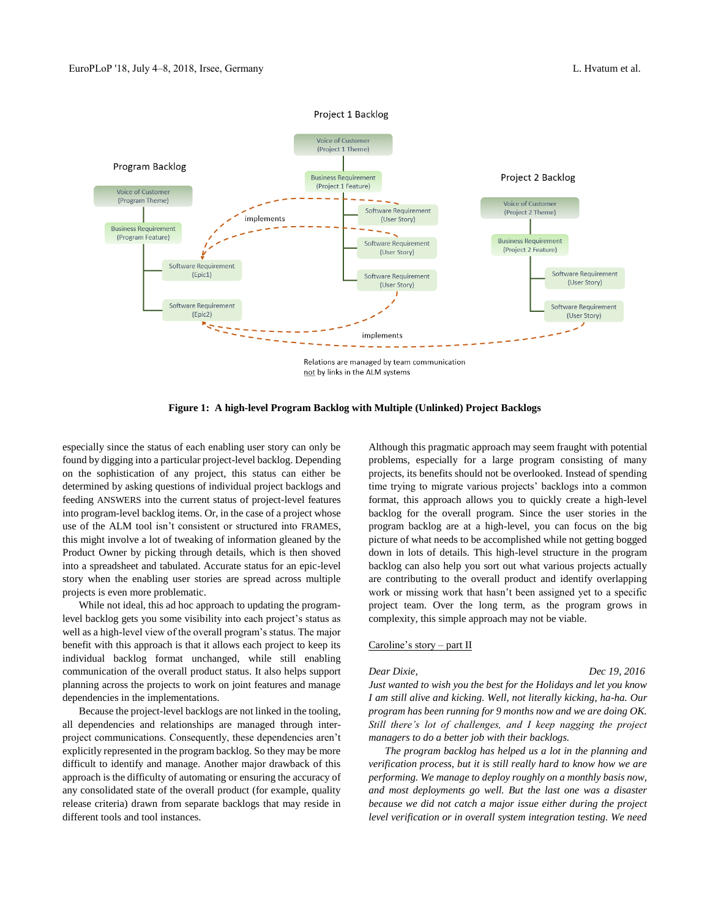

**Figure 1: A high-level Program Backlog with Multiple (Unlinked) Project Backlogs**

especially since the status of each enabling user story can only be found by digging into a particular project-level backlog. Depending on the sophistication of any project, this status can either be determined by asking questions of individual project backlogs and feeding ANSWERS into the current status of project-level features into program-level backlog items. Or, in the case of a project whose use of the ALM tool isn't consistent or structured into FRAMES, this might involve a lot of tweaking of information gleaned by the Product Owner by picking through details, which is then shoved into a spreadsheet and tabulated. Accurate status for an epic-level story when the enabling user stories are spread across multiple projects is even more problematic.

While not ideal, this ad hoc approach to updating the programlevel backlog gets you some visibility into each project's status as well as a high-level view of the overall program's status. The major benefit with this approach is that it allows each project to keep its individual backlog format unchanged, while still enabling communication of the overall product status. It also helps support planning across the projects to work on joint features and manage dependencies in the implementations.

Because the project-level backlogs are not linked in the tooling, all dependencies and relationships are managed through interproject communications. Consequently, these dependencies aren't explicitly represented in the program backlog. So they may be more difficult to identify and manage. Another major drawback of this approach is the difficulty of automating or ensuring the accuracy of any consolidated state of the overall product (for example, quality release criteria) drawn from separate backlogs that may reside in different tools and tool instances.

Although this pragmatic approach may seem fraught with potential problems, especially for a large program consisting of many projects, its benefits should not be overlooked. Instead of spending time trying to migrate various projects' backlogs into a common format, this approach allows you to quickly create a high-level backlog for the overall program. Since the user stories in the program backlog are at a high-level, you can focus on the big picture of what needs to be accomplished while not getting bogged down in lots of details. This high-level structure in the program backlog can also help you sort out what various projects actually are contributing to the overall product and identify overlapping work or missing work that hasn't been assigned yet to a specific project team. Over the long term, as the program grows in complexity, this simple approach may not be viable.

### Caroline's story – part II

*Dear Dixie, Dec 19, 2016 Just wanted to wish you the best for the Holidays and let you know I am still alive and kicking. Well, not literally kicking, ha-ha. Our program has been running for 9 months now and we are doing OK. Still there's lot of challenges, and I keep nagging the project managers to do a better job with their backlogs.* 

*The program backlog has helped us a lot in the planning and verification process, but it is still really hard to know how we are performing. We manage to deploy roughly on a monthly basis now, and most deployments go well. But the last one was a disaster because we did not catch a major issue either during the project level verification or in overall system integration testing. We need*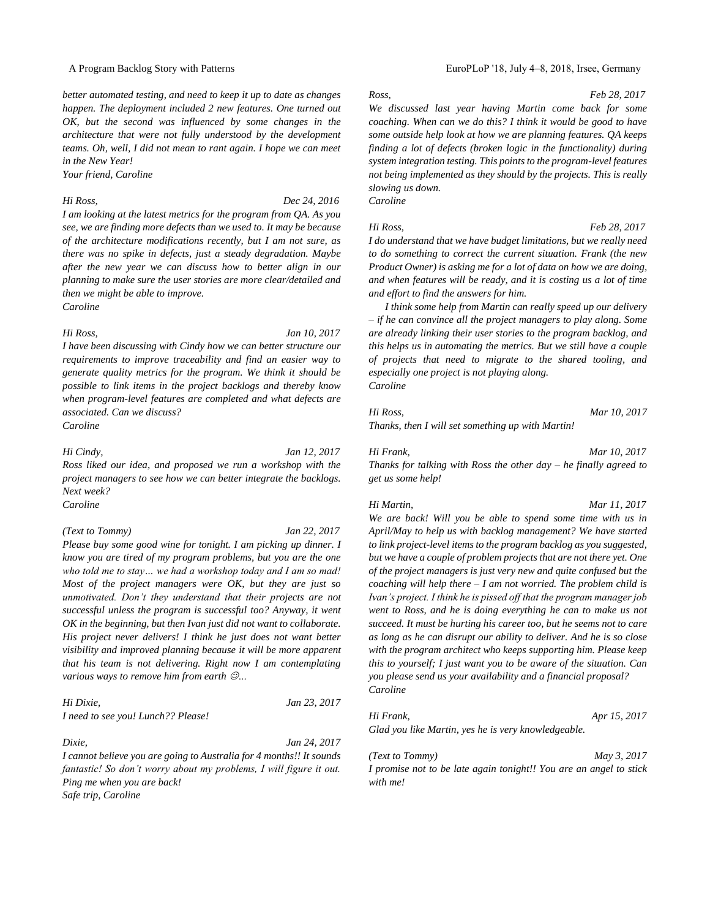*better automated testing, and need to keep it up to date as changes happen. The deployment included 2 new features. One turned out OK, but the second was influenced by some changes in the architecture that were not fully understood by the development teams. Oh, well, I did not mean to rant again. I hope we can meet in the New Year!*

*Your friend, Caroline*

*Hi Ross, Dec 24, 2016*

*I am looking at the latest metrics for the program from QA. As you see, we are finding more defects than we used to. It may be because of the architecture modifications recently, but I am not sure, as there was no spike in defects, just a steady degradation. Maybe after the new year we can discuss how to better align in our planning to make sure the user stories are more clear/detailed and then we might be able to improve. Caroline*

*Hi Ross, Jan 10, 2017*

*I have been discussing with Cindy how we can better structure our requirements to improve traceability and find an easier way to generate quality metrics for the program. We think it should be possible to link items in the project backlogs and thereby know when program-level features are completed and what defects are associated. Can we discuss? Caroline*

*Hi Cindy, Jan 12, 2017*

*Ross liked our idea, and proposed we run a workshop with the project managers to see how we can better integrate the backlogs. Next week?*

*Caroline*

*(Text to Tommy) Jan 22, 2017*

*Please buy some good wine for tonight. I am picking up dinner. I* 

*know you are tired of my program problems, but you are the one who told me to stay… we had a workshop today and I am so mad! Most of the project managers were OK, but they are just so unmotivated. Don't they understand that their projects are not successful unless the program is successful too? Anyway, it went OK in the beginning, but then Ivan just did not want to collaborate. His project never delivers! I think he just does not want better visibility and improved planning because it will be more apparent that his team is not delivering. Right now I am contemplating various ways to remove him from earth* ☺*…*

*Hi Dixie, Jan 23, 2017 I need to see you! Lunch?? Please!*

*Dixie, Jan 24, 2017 I cannot believe you are going to Australia for 4 months!! It sounds fantastic! So don't worry about my problems, I will figure it out. Ping me when you are back! Safe trip, Caroline*

## A Program Backlog Story with Patterns EuroPLoP '18, July 4–8, 2018, Irsee, Germany

*Ross, Feb 28, 2017*

*We discussed last year having Martin come back for some coaching. When can we do this? I think it would be good to have some outside help look at how we are planning features. QA keeps finding a lot of defects (broken logic in the functionality) during system integration testing. This points to the program-level features not being implemented as they should by the projects. This is really slowing us down.*

*Caroline*

### *Hi Ross, Feb 28, 2017*

*I do understand that we have budget limitations, but we really need to do something to correct the current situation. Frank (the new Product Owner) is asking me for a lot of data on how we are doing, and when features will be ready, and it is costing us a lot of time and effort to find the answers for him.* 

*I think some help from Martin can really speed up our delivery – if he can convince all the project managers to play along. Some are already linking their user stories to the program backlog, and this helps us in automating the metrics. But we still have a couple of projects that need to migrate to the shared tooling, and especially one project is not playing along. Caroline*

*Hi Ross, Mar 10, 2017 Thanks, then I will set something up with Martin!*

### *Hi Frank, Mar 10, 2017*

*Thanks for talking with Ross the other day – he finally agreed to get us some help!*

*Hi Martin, Mar 11, 2017*

*We are back! Will you be able to spend some time with us in April/May to help us with backlog management? We have started to link project-level items to the program backlog as you suggested, but we have a couple of problem projects that are not there yet. One of the project managers is just very new and quite confused but the coaching will help there – I am not worried. The problem child is Ivan's project. I think he is pissed off that the program manager job went to Ross, and he is doing everything he can to make us not succeed. It must be hurting his career too, but he seems not to care as long as he can disrupt our ability to deliver. And he is so close with the program architect who keeps supporting him. Please keep this to yourself; I just want you to be aware of the situation. Can you please send us your availability and a financial proposal? Caroline*

*Hi Frank, Apr 15, 2017 Glad you like Martin, yes he is very knowledgeable.* 

*(Text to Tommy) May 3, 2017*

*I promise not to be late again tonight!! You are an angel to stick with me!*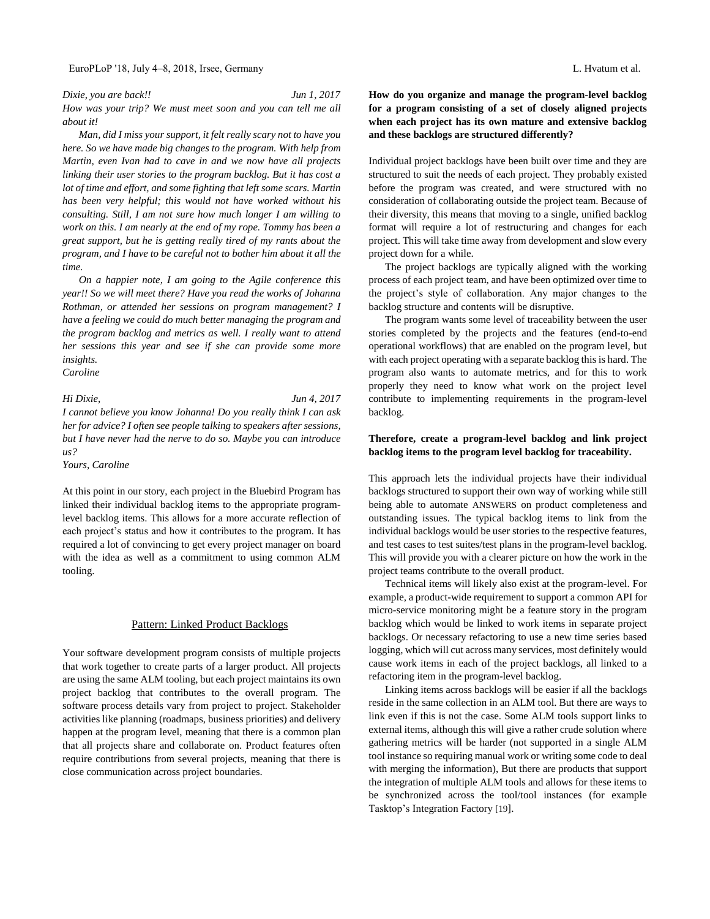### EuroPLoP '18, July 4–8, 2018, Irsee, Germany L. Hvatum et al.

*Dixie, you are back!! Jun 1, 2017 How was your trip? We must meet soon and you can tell me all about it!*

*Man, did I miss your support, it felt really scary not to have you here. So we have made big changes to the program. With help from Martin, even Ivan had to cave in and we now have all projects linking their user stories to the program backlog. But it has cost a lot of time and effort, and some fighting that left some scars. Martin has been very helpful; this would not have worked without his consulting. Still, I am not sure how much longer I am willing to work on this. I am nearly at the end of my rope. Tommy has been a great support, but he is getting really tired of my rants about the program, and I have to be careful not to bother him about it all the time.*

*On a happier note, I am going to the Agile conference this year!! So we will meet there? Have you read the works of Johanna Rothman, or attended her sessions on program management? I have a feeling we could do much better managing the program and the program backlog and metrics as well. I really want to attend her sessions this year and see if she can provide some more insights.*

*Caroline*

## *Hi Dixie, Jun 4, 2017 I cannot believe you know Johanna! Do you really think I can ask her for advice? I often see people talking to speakers after sessions, but I have never had the nerve to do so. Maybe you can introduce us?*

*Yours, Caroline*

At this point in our story, each project in the Bluebird Program has linked their individual backlog items to the appropriate programlevel backlog items. This allows for a more accurate reflection of each project's status and how it contributes to the program. It has required a lot of convincing to get every project manager on board with the idea as well as a commitment to using common ALM tooling.

## Pattern: Linked Product Backlogs

Your software development program consists of multiple projects that work together to create parts of a larger product. All projects are using the same ALM tooling, but each project maintains its own project backlog that contributes to the overall program. The software process details vary from project to project. Stakeholder activities like planning (roadmaps, business priorities) and delivery happen at the program level, meaning that there is a common plan that all projects share and collaborate on. Product features often require contributions from several projects, meaning that there is close communication across project boundaries.

**How do you organize and manage the program-level backlog for a program consisting of a set of closely aligned projects when each project has its own mature and extensive backlog and these backlogs are structured differently?**

Individual project backlogs have been built over time and they are structured to suit the needs of each project. They probably existed before the program was created, and were structured with no consideration of collaborating outside the project team. Because of their diversity, this means that moving to a single, unified backlog format will require a lot of restructuring and changes for each project. This will take time away from development and slow every project down for a while.

The project backlogs are typically aligned with the working process of each project team, and have been optimized over time to the project's style of collaboration. Any major changes to the backlog structure and contents will be disruptive.

The program wants some level of traceability between the user stories completed by the projects and the features (end-to-end operational workflows) that are enabled on the program level, but with each project operating with a separate backlog this is hard. The program also wants to automate metrics, and for this to work properly they need to know what work on the project level contribute to implementing requirements in the program-level backlog.

## **Therefore, create a program-level backlog and link project backlog items to the program level backlog for traceability.**

This approach lets the individual projects have their individual backlogs structured to support their own way of working while still being able to automate ANSWERS on product completeness and outstanding issues. The typical backlog items to link from the individual backlogs would be user stories to the respective features, and test cases to test suites/test plans in the program-level backlog. This will provide you with a clearer picture on how the work in the project teams contribute to the overall product.

Technical items will likely also exist at the program-level. For example, a product-wide requirement to support a common API for micro-service monitoring might be a feature story in the program backlog which would be linked to work items in separate project backlogs. Or necessary refactoring to use a new time series based logging, which will cut across many services, most definitely would cause work items in each of the project backlogs, all linked to a refactoring item in the program-level backlog.

Linking items across backlogs will be easier if all the backlogs reside in the same collection in an ALM tool. But there are ways to link even if this is not the case. Some ALM tools support links to external items, although this will give a rather crude solution where gathering metrics will be harder (not supported in a single ALM tool instance so requiring manual work or writing some code to deal with merging the information), But there are products that support the integration of multiple ALM tools and allows for these items to be synchronized across the tool/tool instances (for example Tasktop's Integration Factory [19].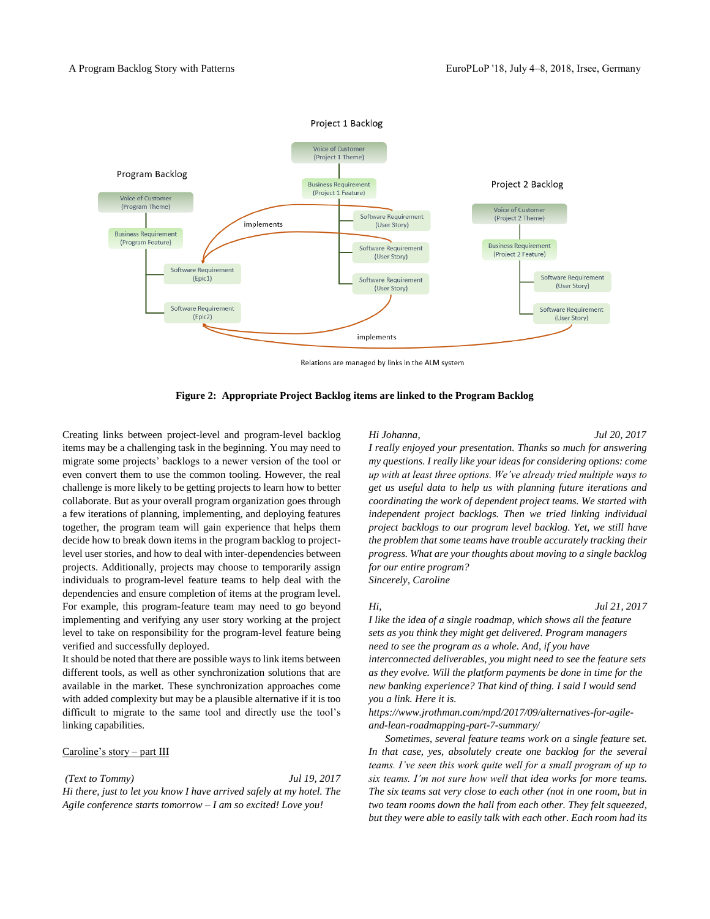### Project 1 Backlog



Relations are managed by links in the ALM system



Creating links between project-level and program-level backlog items may be a challenging task in the beginning. You may need to migrate some projects' backlogs to a newer version of the tool or even convert them to use the common tooling. However, the real challenge is more likely to be getting projects to learn how to better collaborate. But as your overall program organization goes through a few iterations of planning, implementing, and deploying features together, the program team will gain experience that helps them decide how to break down items in the program backlog to projectlevel user stories, and how to deal with inter-dependencies between projects. Additionally, projects may choose to temporarily assign individuals to program-level feature teams to help deal with the dependencies and ensure completion of items at the program level. For example, this program-feature team may need to go beyond implementing and verifying any user story working at the project level to take on responsibility for the program-level feature being verified and successfully deployed.

It should be noted that there are possible ways to link items between different tools, as well as other synchronization solutions that are available in the market. These synchronization approaches come with added complexity but may be a plausible alternative if it is too difficult to migrate to the same tool and directly use the tool's linking capabilities.

## Caroline's story – part III

*(Text to Tommy) Jul 19, 2017 Hi there, just to let you know I have arrived safely at my hotel. The Agile conference starts tomorrow – I am so excited! Love you!*

### *Hi Johanna, Jul 20, 2017*

*I really enjoyed your presentation. Thanks so much for answering my questions. I really like your ideas for considering options: come up with at least three options. We've already tried multiple ways to get us useful data to help us with planning future iterations and coordinating the work of dependent project teams. We started with independent project backlogs. Then we tried linking individual project backlogs to our program level backlog. Yet, we still have the problem that some teams have trouble accurately tracking their progress. What are your thoughts about moving to a single backlog for our entire program?*

*Sincerely, Caroline*

### *Hi, Jul 21, 2017*

*I like the idea of a single roadmap, which shows all the feature sets as you think they might get delivered. Program managers need to see the program as a whole. And, if you have interconnected deliverables, you might need to see the feature sets as they evolve. Will the platform payments be done in time for the new banking experience? That kind of thing. I said I would send you a link. Here it is.* 

*https://www.jrothman.com/mpd/2017/09/alternatives-for-agileand-lean-roadmapping-part-7-summary/*

*Sometimes, several feature teams work on a single feature set. In that case, yes, absolutely create one backlog for the several teams. I've seen this work quite well for a small program of up to six teams. I'm not sure how well that idea works for more teams. The six teams sat very close to each other (not in one room, but in two team rooms down the hall from each other. They felt squeezed, but they were able to easily talk with each other. Each room had its*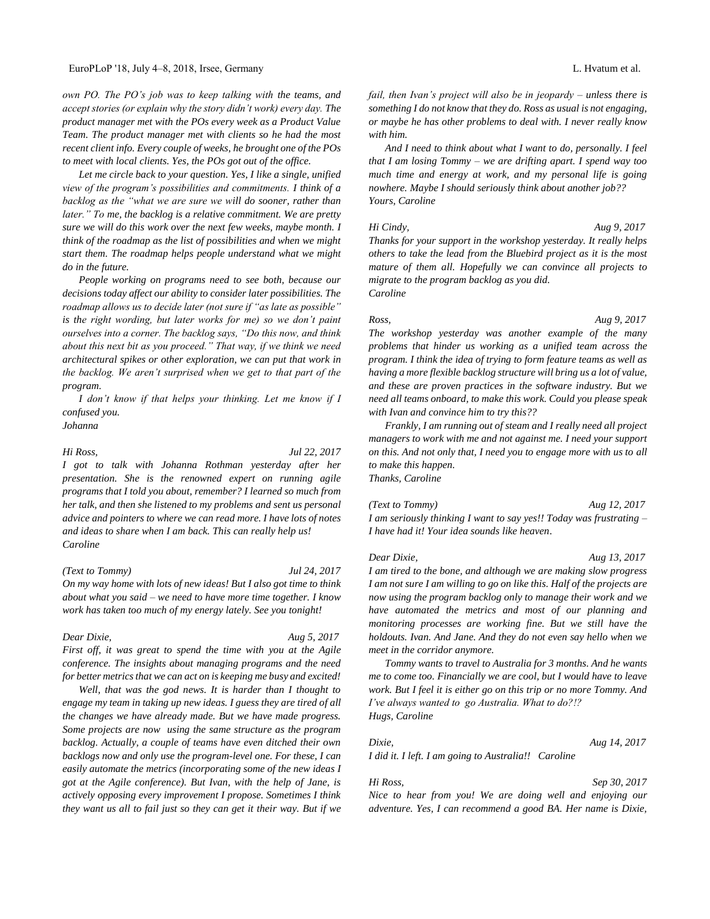*own PO. The PO's job was to keep talking with the teams, and accept stories (or explain why the story didn't work) every day. The product manager met with the POs every week as a Product Value Team. The product manager met with clients so he had the most recent client info. Every couple of weeks, he brought one of the POs to meet with local clients. Yes, the POs got out of the office.*

*Let me circle back to your question. Yes, I like a single, unified view of the program's possibilities and commitments. I think of a backlog as the "what we are sure we will do sooner, rather than later." To me, the backlog is a relative commitment. We are pretty sure we will do this work over the next few weeks, maybe month. I think of the roadmap as the list of possibilities and when we might start them. The roadmap helps people understand what we might do in the future.* 

*People working on programs need to see both, because our decisions today affect our ability to consider later possibilities. The roadmap allows us to decide later (not sure if "as late as possible" is the right wording, but later works for me) so we don't paint ourselves into a corner. The backlog says, "Do this now, and think about this next bit as you proceed." That way, if we think we need architectural spikes or other exploration, we can put that work in the backlog. We aren't surprised when we get to that part of the program.*

*I don't know if that helps your thinking. Let me know if I confused you.* 

*Johanna*

*Hi Ross, Jul 22, 2017*

*I got to talk with Johanna Rothman yesterday after her presentation. She is the renowned expert on running agile programs that I told you about, remember? I learned so much from her talk, and then she listened to my problems and sent us personal advice and pointers to where we can read more. I have lots of notes and ideas to share when I am back. This can really help us! Caroline*

### *(Text to Tommy) Jul 24, 2017*

*On my way home with lots of new ideas! But I also got time to think about what you said – we need to have more time together. I know work has taken too much of my energy lately. See you tonight!*

*Dear Dixie, Aug 5, 2017*

*First off, it was great to spend the time with you at the Agile conference. The insights about managing programs and the need for better metrics that we can act on is keeping me busy and excited!*

*Well, that was the god news. It is harder than I thought to engage my team in taking up new ideas. I guess they are tired of all the changes we have already made. But we have made progress. Some projects are now using the same structure as the program backlog. Actually, a couple of teams have even ditched their own backlogs now and only use the program-level one. For these, I can easily automate the metrics (incorporating some of the new ideas I got at the Agile conference). But Ivan, with the help of Jane, is actively opposing every improvement I propose. Sometimes I think they want us all to fail just so they can get it their way. But if we* 

*fail, then Ivan's project will also be in jeopardy – unless there is something I do not know that they do. Ross as usual is not engaging, or maybe he has other problems to deal with. I never really know with him.*

*And I need to think about what I want to do, personally. I feel that I am losing Tommy – we are drifting apart. I spend way too much time and energy at work, and my personal life is going nowhere. Maybe I should seriously think about another job?? Yours, Caroline*

*Hi Cindy, Aug 9, 2017 Thanks for your support in the workshop yesterday. It really helps others to take the lead from the Bluebird project as it is the most mature of them all. Hopefully we can convince all projects to migrate to the program backlog as you did. Caroline*

## *Ross, Aug 9, 2017*

*The workshop yesterday was another example of the many problems that hinder us working as a unified team across the program. I think the idea of trying to form feature teams as well as having a more flexible backlog structure will bring us a lot of value, and these are proven practices in the software industry. But we need all teams onboard, to make this work. Could you please speak with Ivan and convince him to try this??* 

*Frankly, I am running out of steam and I really need all project managers to work with me and not against me. I need your support on this. And not only that, I need you to engage more with us to all to make this happen. Thanks, Caroline*

*(Text to Tommy) Aug 12, 2017 I am seriously thinking I want to say yes!! Today was frustrating – I have had it! Your idea sounds like heaven*.

*Dear Dixie, Aug 13, 2017 I am tired to the bone, and although we are making slow progress I am not sure I am willing to go on like this. Half of the projects are now using the program backlog only to manage their work and we have automated the metrics and most of our planning and monitoring processes are working fine. But we still have the holdouts. Ivan. And Jane. And they do not even say hello when we meet in the corridor anymore.* 

*Tommy wants to travel to Australia for 3 months. And he wants me to come too. Financially we are cool, but I would have to leave work. But I feel it is either go on this trip or no more Tommy. And I've always wanted to go Australia. What to do?!? Hugs, Caroline*

### *Dixie, Aug 14, 2017*

*I did it. I left. I am going to Australia!! Caroline*

*Hi Ross, Sep 30, 2017 Nice to hear from you! We are doing well and enjoying our adventure. Yes, I can recommend a good BA. Her name is Dixie,*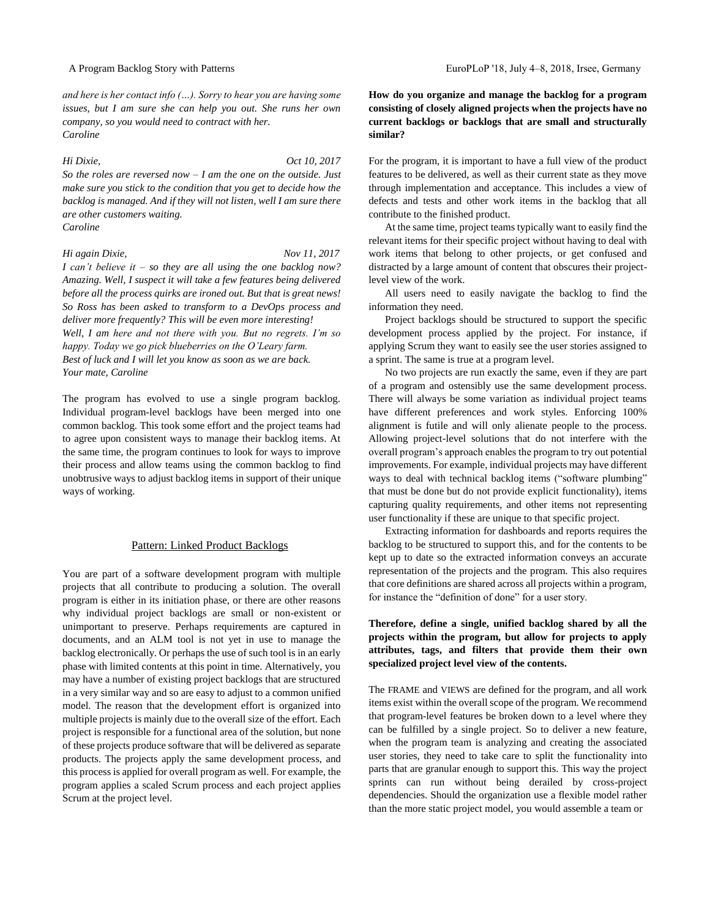*and here is her contact info (…). Sorry to hear you are having some issues, but I am sure she can help you out. She runs her own company, so you would need to contract with her. Caroline*

*Hi Dixie, Oct 10, 2017 So the roles are reversed now – I am the one on the outside. Just make sure you stick to the condition that you get to decide how the backlog is managed. And if they will not listen, well I am sure there are other customers waiting. Caroline*

*Hi again Dixie, Nov 11, 2017 I can't believe it – so they are all using the one backlog now? Amazing. Well, I suspect it will take a few features being delivered before all the process quirks are ironed out. But that is great news! So Ross has been asked to transform to a DevOps process and deliver more frequently? This will be even more interesting! Well, I am here and not there with you. But no regrets. I'm so happy. Today we go pick blueberries on the O'Leary farm. Best of luck and I will let you know as soon as we are back. Your mate, Caroline*

The program has evolved to use a single program backlog. Individual program-level backlogs have been merged into one common backlog. This took some effort and the project teams had to agree upon consistent ways to manage their backlog items. At the same time, the program continues to look for ways to improve their process and allow teams using the common backlog to find unobtrusive ways to adjust backlog items in support of their unique ways of working.

## Pattern: Linked Product Backlogs

You are part of a software development program with multiple projects that all contribute to producing a solution. The overall program is either in its initiation phase, or there are other reasons why individual project backlogs are small or non-existent or unimportant to preserve. Perhaps requirements are captured in documents, and an ALM tool is not yet in use to manage the backlog electronically. Or perhaps the use of such tool is in an early phase with limited contents at this point in time. Alternatively, you may have a number of existing project backlogs that are structured in a very similar way and so are easy to adjust to a common unified model. The reason that the development effort is organized into multiple projects is mainly due to the overall size of the effort. Each project is responsible for a functional area of the solution, but none of these projects produce software that will be delivered as separate products. The projects apply the same development process, and this process is applied for overall program as well. For example, the program applies a scaled Scrum process and each project applies Scrum at the project level.

**How do you organize and manage the backlog for a program consisting of closely aligned projects when the projects have no current backlogs or backlogs that are small and structurally similar?**

For the program, it is important to have a full view of the product features to be delivered, as well as their current state as they move through implementation and acceptance. This includes a view of defects and tests and other work items in the backlog that all contribute to the finished product.

At the same time, project teams typically want to easily find the relevant items for their specific project without having to deal with work items that belong to other projects, or get confused and distracted by a large amount of content that obscures their projectlevel view of the work.

All users need to easily navigate the backlog to find the information they need.

Project backlogs should be structured to support the specific development process applied by the project. For instance, if applying Scrum they want to easily see the user stories assigned to a sprint. The same is true at a program level.

No two projects are run exactly the same, even if they are part of a program and ostensibly use the same development process. There will always be some variation as individual project teams have different preferences and work styles. Enforcing 100% alignment is futile and will only alienate people to the process. Allowing project-level solutions that do not interfere with the overall program's approach enables the program to try out potential improvements. For example, individual projects may have different ways to deal with technical backlog items ("software plumbing" that must be done but do not provide explicit functionality), items capturing quality requirements, and other items not representing user functionality if these are unique to that specific project.

Extracting information for dashboards and reports requires the backlog to be structured to support this, and for the contents to be kept up to date so the extracted information conveys an accurate representation of the projects and the program. This also requires that core definitions are shared across all projects within a program, for instance the "definition of done" for a user story.

## **Therefore, define a single, unified backlog shared by all the projects within the program, but allow for projects to apply attributes, tags, and filters that provide them their own specialized project level view of the contents.**

The FRAME and VIEWS are defined for the program, and all work items exist within the overall scope of the program. We recommend that program-level features be broken down to a level where they can be fulfilled by a single project. So to deliver a new feature, when the program team is analyzing and creating the associated user stories, they need to take care to split the functionality into parts that are granular enough to support this. This way the project sprints can run without being derailed by cross-project dependencies. Should the organization use a flexible model rather than the more static project model, you would assemble a team or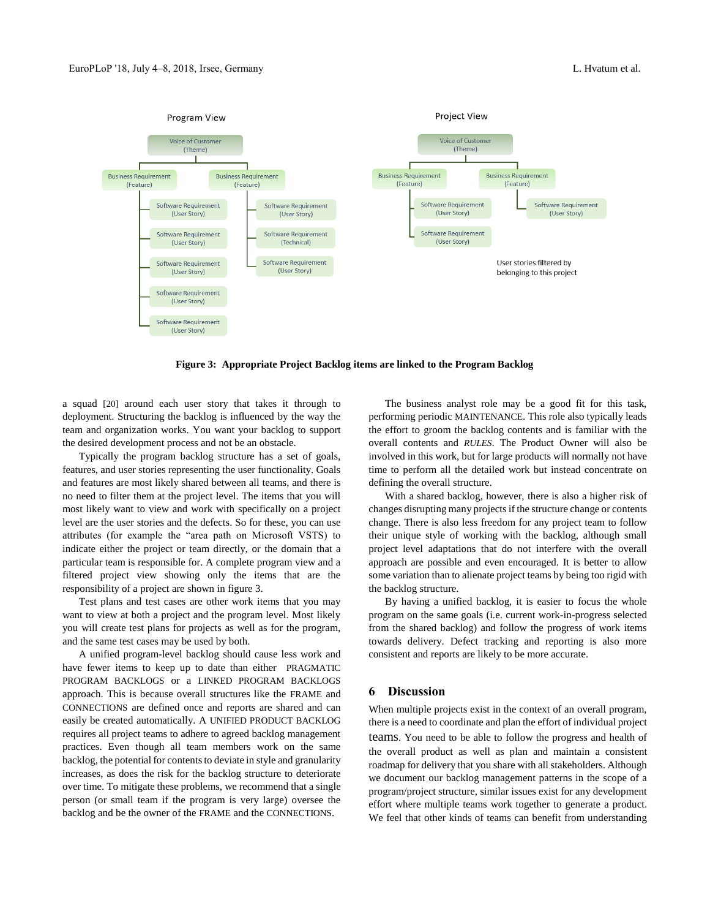

**Figure 3: Appropriate Project Backlog items are linked to the Program Backlog**

a squad [20] around each user story that takes it through to deployment. Structuring the backlog is influenced by the way the team and organization works. You want your backlog to support the desired development process and not be an obstacle.

Typically the program backlog structure has a set of goals, features, and user stories representing the user functionality. Goals and features are most likely shared between all teams, and there is no need to filter them at the project level. The items that you will most likely want to view and work with specifically on a project level are the user stories and the defects. So for these, you can use attributes (for example the "area path on Microsoft VSTS) to indicate either the project or team directly, or the domain that a particular team is responsible for. A complete program view and a filtered project view showing only the items that are the responsibility of a project are shown in figure 3.

Test plans and test cases are other work items that you may want to view at both a project and the program level. Most likely you will create test plans for projects as well as for the program, and the same test cases may be used by both.

A unified program-level backlog should cause less work and have fewer items to keep up to date than either PRAGMATIC PROGRAM BACKLOGS or a LINKED PROGRAM BACKLOGS approach. This is because overall structures like the FRAME and CONNECTIONS are defined once and reports are shared and can easily be created automatically. A UNIFIED PRODUCT BACKLOG requires all project teams to adhere to agreed backlog management practices. Even though all team members work on the same backlog, the potential for contents to deviate in style and granularity increases, as does the risk for the backlog structure to deteriorate over time. To mitigate these problems, we recommend that a single person (or small team if the program is very large) oversee the backlog and be the owner of the FRAME and the CONNECTIONS.

The business analyst role may be a good fit for this task, performing periodic MAINTENANCE. This role also typically leads the effort to groom the backlog contents and is familiar with the overall contents and *RULES*. The Product Owner will also be involved in this work, but for large products will normally not have time to perform all the detailed work but instead concentrate on defining the overall structure.

With a shared backlog, however, there is also a higher risk of changes disrupting many projects if the structure change or contents change. There is also less freedom for any project team to follow their unique style of working with the backlog, although small project level adaptations that do not interfere with the overall approach are possible and even encouraged. It is better to allow some variation than to alienate project teams by being too rigid with the backlog structure.

By having a unified backlog, it is easier to focus the whole program on the same goals (i.e. current work-in-progress selected from the shared backlog) and follow the progress of work items towards delivery. Defect tracking and reporting is also more consistent and reports are likely to be more accurate.

## **6 Discussion**

When multiple projects exist in the context of an overall program, there is a need to coordinate and plan the effort of individual project teams. You need to be able to follow the progress and health of the overall product as well as plan and maintain a consistent roadmap for delivery that you share with all stakeholders. Although we document our backlog management patterns in the scope of a program/project structure, similar issues exist for any development effort where multiple teams work together to generate a product. We feel that other kinds of teams can benefit from understanding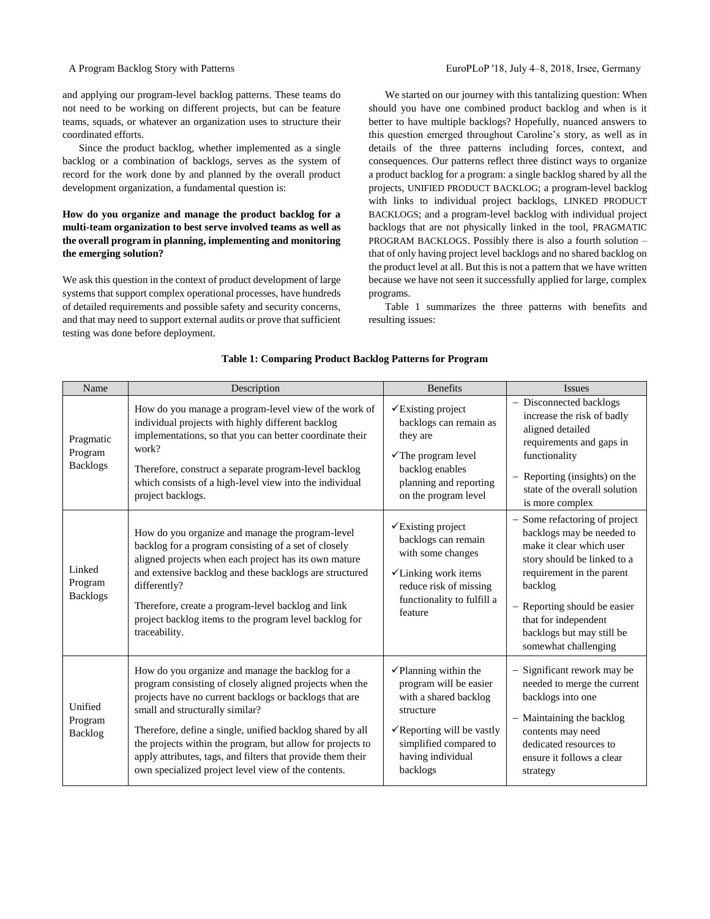and applying our program-level backlog patterns. These teams do not need to be working on different projects, but can be feature teams, squads, or whatever an organization uses to structure their coordinated efforts.

Since the product backlog, whether implemented as a single backlog or a combination of backlogs, serves as the system of record for the work done by and planned by the overall product development organization, a fundamental question is:

## **How do you organize and manage the product backlog for a multi-team organization to best serve involved teams as well as the overall program in planning, implementing and monitoring the emerging solution?**

We ask this question in the context of product development of large systems that support complex operational processes, have hundreds of detailed requirements and possible safety and security concerns, and that may need to support external audits or prove that sufficient testing was done before deployment.

We started on our journey with this tantalizing question: When should you have one combined product backlog and when is it better to have multiple backlogs? Hopefully, nuanced answers to this question emerged throughout Caroline's story, as well as in details of the three patterns including forces, context, and consequences. Our patterns reflect three distinct ways to organize a product backlog for a program: a single backlog shared by all the projects, UNIFIED PRODUCT BACKLOG; a program-level backlog with links to individual project backlogs, LINKED PRODUCT BACKLOGS; and a program-level backlog with individual project backlogs that are not physically linked in the tool, PRAGMATIC PROGRAM BACKLOGS. Possibly there is also a fourth solution – that of only having project level backlogs and no shared backlog on the product level at all. But this is not a pattern that we have written because we have not seen it successfully applied for large, complex programs.

Table 1 summarizes the three patterns with benefits and resulting issues:

| Name                                    | Description                                                                                                                                                                                                                                                                                                                                                                                                                                               | <b>Benefits</b>                                                                                                                                                                                      | <b>Issues</b>                                                                                                                                                                                                                                                              |
|-----------------------------------------|-----------------------------------------------------------------------------------------------------------------------------------------------------------------------------------------------------------------------------------------------------------------------------------------------------------------------------------------------------------------------------------------------------------------------------------------------------------|------------------------------------------------------------------------------------------------------------------------------------------------------------------------------------------------------|----------------------------------------------------------------------------------------------------------------------------------------------------------------------------------------------------------------------------------------------------------------------------|
| Pragmatic<br>Program<br><b>Backlogs</b> | How do you manage a program-level view of the work of<br>individual projects with highly different backlog<br>implementations, so that you can better coordinate their<br>work?<br>Therefore, construct a separate program-level backlog<br>which consists of a high-level view into the individual<br>project backlogs.                                                                                                                                  | $\checkmark$ Existing project<br>backlogs can remain as<br>they are<br>$\checkmark$ The program level<br>backlog enables<br>planning and reporting<br>on the program level                           | - Disconnected backlogs<br>increase the risk of badly<br>aligned detailed<br>requirements and gaps in<br>functionality<br>- Reporting (insights) on the<br>state of the overall solution<br>is more complex                                                                |
| Linked<br>Program<br><b>Backlogs</b>    | How do you organize and manage the program-level<br>backlog for a program consisting of a set of closely<br>aligned projects when each project has its own mature<br>and extensive backlog and these backlogs are structured<br>differently?<br>Therefore, create a program-level backlog and link<br>project backlog items to the program level backlog for<br>traceability.                                                                             | $\checkmark$ Existing project<br>backlogs can remain<br>with some changes<br>√Linking work items<br>reduce risk of missing<br>functionality to fulfill a<br>feature                                  | - Some refactoring of project<br>backlogs may be needed to<br>make it clear which user<br>story should be linked to a<br>requirement in the parent<br>backlog<br>- Reporting should be easier<br>that for independent<br>backlogs but may still be<br>somewhat challenging |
| Unified<br>Program<br>Backlog           | How do you organize and manage the backlog for a<br>program consisting of closely aligned projects when the<br>projects have no current backlogs or backlogs that are<br>small and structurally similar?<br>Therefore, define a single, unified backlog shared by all<br>the projects within the program, but allow for projects to<br>apply attributes, tags, and filters that provide them their<br>own specialized project level view of the contents. | $\checkmark$ Planning within the<br>program will be easier<br>with a shared backlog<br>structure<br>$\checkmark$ Reporting will be vastly<br>simplified compared to<br>having individual<br>backlogs | - Significant rework may be<br>needed to merge the current<br>backlogs into one<br>- Maintaining the backlog<br>contents may need<br>dedicated resources to<br>ensure it follows a clear<br>strategy                                                                       |

## **Table 1: Comparing Product Backlog Patterns for Program**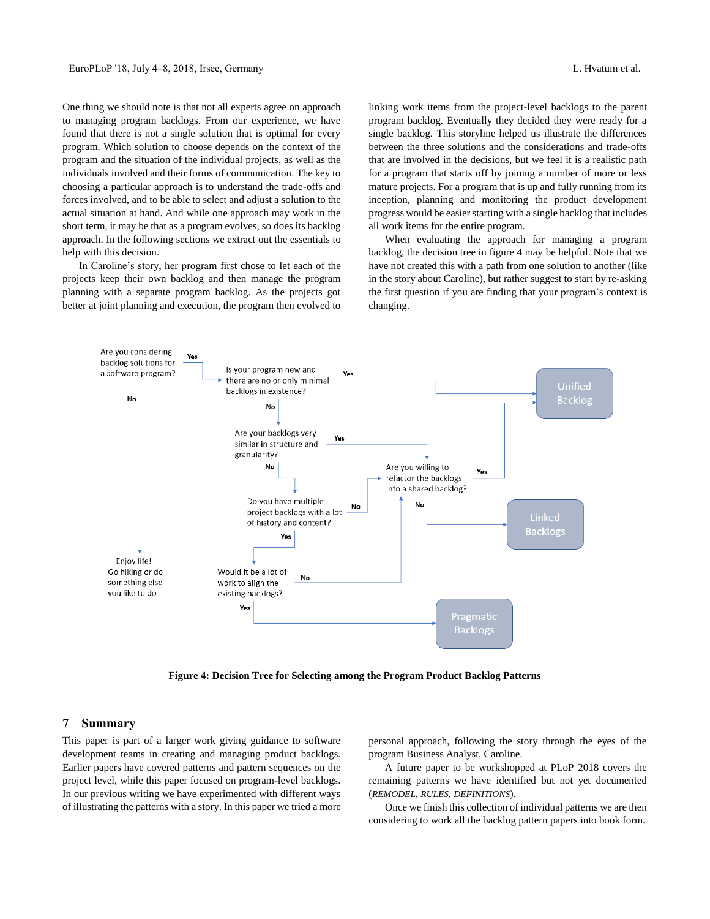One thing we should note is that not all experts agree on approach to managing program backlogs. From our experience, we have found that there is not a single solution that is optimal for every program. Which solution to choose depends on the context of the program and the situation of the individual projects, as well as the individuals involved and their forms of communication. The key to choosing a particular approach is to understand the trade-offs and forces involved, and to be able to select and adjust a solution to the actual situation at hand. And while one approach may work in the short term, it may be that as a program evolves, so does its backlog approach. In the following sections we extract out the essentials to help with this decision.

In Caroline's story, her program first chose to let each of the projects keep their own backlog and then manage the program planning with a separate program backlog. As the projects got better at joint planning and execution, the program then evolved to

linking work items from the project-level backlogs to the parent program backlog. Eventually they decided they were ready for a single backlog. This storyline helped us illustrate the differences between the three solutions and the considerations and trade-offs that are involved in the decisions, but we feel it is a realistic path for a program that starts off by joining a number of more or less mature projects. For a program that is up and fully running from its inception, planning and monitoring the product development progress would be easier starting with a single backlog that includes all work items for the entire program.

When evaluating the approach for managing a program backlog, the decision tree in figure 4 may be helpful. Note that we have not created this with a path from one solution to another (like in the story about Caroline), but rather suggest to start by re-asking the first question if you are finding that your program's context is changing.



**Figure 4: Decision Tree for Selecting among the Program Product Backlog Patterns**

## **7 Summary**

This paper is part of a larger work giving guidance to software development teams in creating and managing product backlogs. Earlier papers have covered patterns and pattern sequences on the project level, while this paper focused on program-level backlogs. In our previous writing we have experimented with different ways of illustrating the patterns with a story. In this paper we tried a more

personal approach, following the story through the eyes of the program Business Analyst, Caroline.

A future paper to be workshopped at PLoP 2018 covers the remaining patterns we have identified but not yet documented (*REMODEL, RULES, DEFINITIONS*).

Once we finish this collection of individual patterns we are then considering to work all the backlog pattern papers into book form.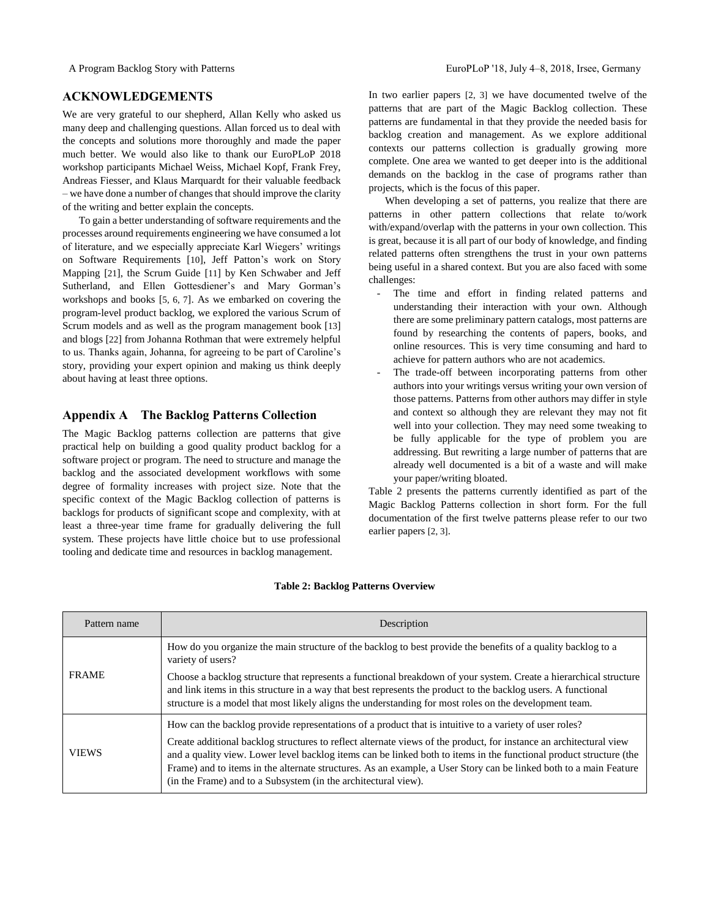## **ACKNOWLEDGEMENTS**

We are very grateful to our shepherd, Allan Kelly who asked us many deep and challenging questions. Allan forced us to deal with the concepts and solutions more thoroughly and made the paper much better. We would also like to thank our EuroPLoP 2018 workshop participants Michael Weiss, Michael Kopf, Frank Frey, Andreas Fiesser, and Klaus Marquardt for their valuable feedback – we have done a number of changes that should improve the clarity of the writing and better explain the concepts.

To gain a better understanding of software requirements and the processes around requirements engineering we have consumed a lot of literature, and we especially appreciate Karl Wiegers' writings on Software Requirements [10], Jeff Patton's work on Story Mapping [21], the Scrum Guide [11] by Ken Schwaber and Jeff Sutherland, and Ellen Gottesdiener's and Mary Gorman's workshops and books [5, 6, 7]. As we embarked on covering the program-level product backlog, we explored the various Scrum of Scrum models and as well as the program management book [13] and blogs [22] from Johanna Rothman that were extremely helpful to us. Thanks again, Johanna, for agreeing to be part of Caroline's story, providing your expert opinion and making us think deeply about having at least three options.

## **Appendix A The Backlog Patterns Collection**

The Magic Backlog patterns collection are patterns that give practical help on building a good quality product backlog for a software project or program. The need to structure and manage the backlog and the associated development workflows with some degree of formality increases with project size. Note that the specific context of the Magic Backlog collection of patterns is backlogs for products of significant scope and complexity, with at least a three-year time frame for gradually delivering the full system. These projects have little choice but to use professional tooling and dedicate time and resources in backlog management.

In two earlier papers [2, 3] we have documented twelve of the patterns that are part of the Magic Backlog collection. These patterns are fundamental in that they provide the needed basis for backlog creation and management. As we explore additional contexts our patterns collection is gradually growing more complete. One area we wanted to get deeper into is the additional demands on the backlog in the case of programs rather than projects, which is the focus of this paper.

When developing a set of patterns, you realize that there are patterns in other pattern collections that relate to/work with/expand/overlap with the patterns in your own collection. This is great, because it is all part of our body of knowledge, and finding related patterns often strengthens the trust in your own patterns being useful in a shared context. But you are also faced with some challenges:

- The time and effort in finding related patterns and understanding their interaction with your own. Although there are some preliminary pattern catalogs, most patterns are found by researching the contents of papers, books, and online resources. This is very time consuming and hard to achieve for pattern authors who are not academics.
- The trade-off between incorporating patterns from other authors into your writings versus writing your own version of those patterns. Patterns from other authors may differ in style and context so although they are relevant they may not fit well into your collection. They may need some tweaking to be fully applicable for the type of problem you are addressing. But rewriting a large number of patterns that are already well documented is a bit of a waste and will make your paper/writing bloated.

Table 2 presents the patterns currently identified as part of the Magic Backlog Patterns collection in short form. For the full documentation of the first twelve patterns please refer to our two earlier papers [2, 3].

| Pattern name | Description                                                                                                                                                                                                                                                                                                                                                                                                                                                                                                                               |
|--------------|-------------------------------------------------------------------------------------------------------------------------------------------------------------------------------------------------------------------------------------------------------------------------------------------------------------------------------------------------------------------------------------------------------------------------------------------------------------------------------------------------------------------------------------------|
|              | How do you organize the main structure of the backlog to best provide the benefits of a quality backlog to a<br>variety of users?                                                                                                                                                                                                                                                                                                                                                                                                         |
| <b>FRAME</b> | Choose a backlog structure that represents a functional breakdown of your system. Create a hierarchical structure<br>and link items in this structure in a way that best represents the product to the backlog users. A functional<br>structure is a model that most likely aligns the understanding for most roles on the development team.                                                                                                                                                                                              |
| <b>VIEWS</b> | How can the backlog provide representations of a product that is intuitive to a variety of user roles?<br>Create additional backlog structures to reflect alternate views of the product, for instance an architectural view<br>and a quality view. Lower level backlog items can be linked both to items in the functional product structure (the<br>Frame) and to items in the alternate structures. As an example, a User Story can be linked both to a main Feature<br>(in the Frame) and to a Subsystem (in the architectural view). |

## **Table 2: Backlog Patterns Overview**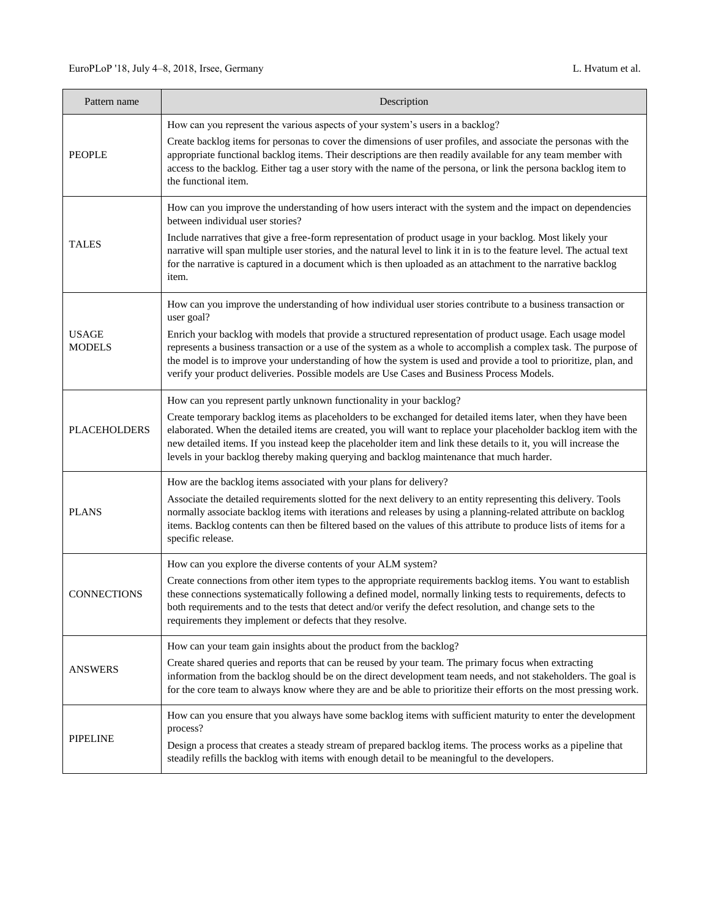| Pattern name                  | Description                                                                                                                                                                                                                                                                                                                                                                                                                                                                                                                                                                     |
|-------------------------------|---------------------------------------------------------------------------------------------------------------------------------------------------------------------------------------------------------------------------------------------------------------------------------------------------------------------------------------------------------------------------------------------------------------------------------------------------------------------------------------------------------------------------------------------------------------------------------|
| <b>PEOPLE</b>                 | How can you represent the various aspects of your system's users in a backlog?<br>Create backlog items for personas to cover the dimensions of user profiles, and associate the personas with the<br>appropriate functional backlog items. Their descriptions are then readily available for any team member with<br>access to the backlog. Either tag a user story with the name of the persona, or link the persona backlog item to<br>the functional item.                                                                                                                   |
| <b>TALES</b>                  | How can you improve the understanding of how users interact with the system and the impact on dependencies<br>between individual user stories?<br>Include narratives that give a free-form representation of product usage in your backlog. Most likely your<br>narrative will span multiple user stories, and the natural level to link it in is to the feature level. The actual text<br>for the narrative is captured in a document which is then uploaded as an attachment to the narrative backlog<br>item.                                                                |
| <b>USAGE</b><br><b>MODELS</b> | How can you improve the understanding of how individual user stories contribute to a business transaction or<br>user goal?<br>Enrich your backlog with models that provide a structured representation of product usage. Each usage model<br>represents a business transaction or a use of the system as a whole to accomplish a complex task. The purpose of<br>the model is to improve your understanding of how the system is used and provide a tool to prioritize, plan, and<br>verify your product deliveries. Possible models are Use Cases and Business Process Models. |
| <b>PLACEHOLDERS</b>           | How can you represent partly unknown functionality in your backlog?<br>Create temporary backlog items as placeholders to be exchanged for detailed items later, when they have been<br>elaborated. When the detailed items are created, you will want to replace your placeholder backlog item with the<br>new detailed items. If you instead keep the placeholder item and link these details to it, you will increase the<br>levels in your backlog thereby making querying and backlog maintenance that much harder.                                                         |
| <b>PLANS</b>                  | How are the backlog items associated with your plans for delivery?<br>Associate the detailed requirements slotted for the next delivery to an entity representing this delivery. Tools<br>normally associate backlog items with iterations and releases by using a planning-related attribute on backlog<br>items. Backlog contents can then be filtered based on the values of this attribute to produce lists of items for a<br>specific release.                                                                                                                             |
| <b>CONNECTIONS</b>            | How can you explore the diverse contents of your ALM system?<br>Create connections from other item types to the appropriate requirements backlog items. You want to establish<br>these connections systematically following a defined model, normally linking tests to requirements, defects to<br>both requirements and to the tests that detect and/or verify the defect resolution, and change sets to the<br>requirements they implement or defects that they resolve.                                                                                                      |
| <b>ANSWERS</b>                | How can your team gain insights about the product from the backlog?<br>Create shared queries and reports that can be reused by your team. The primary focus when extracting<br>information from the backlog should be on the direct development team needs, and not stakeholders. The goal is<br>for the core team to always know where they are and be able to prioritize their efforts on the most pressing work.                                                                                                                                                             |
| <b>PIPELINE</b>               | How can you ensure that you always have some backlog items with sufficient maturity to enter the development<br>process?<br>Design a process that creates a steady stream of prepared backlog items. The process works as a pipeline that<br>steadily refills the backlog with items with enough detail to be meaningful to the developers.                                                                                                                                                                                                                                     |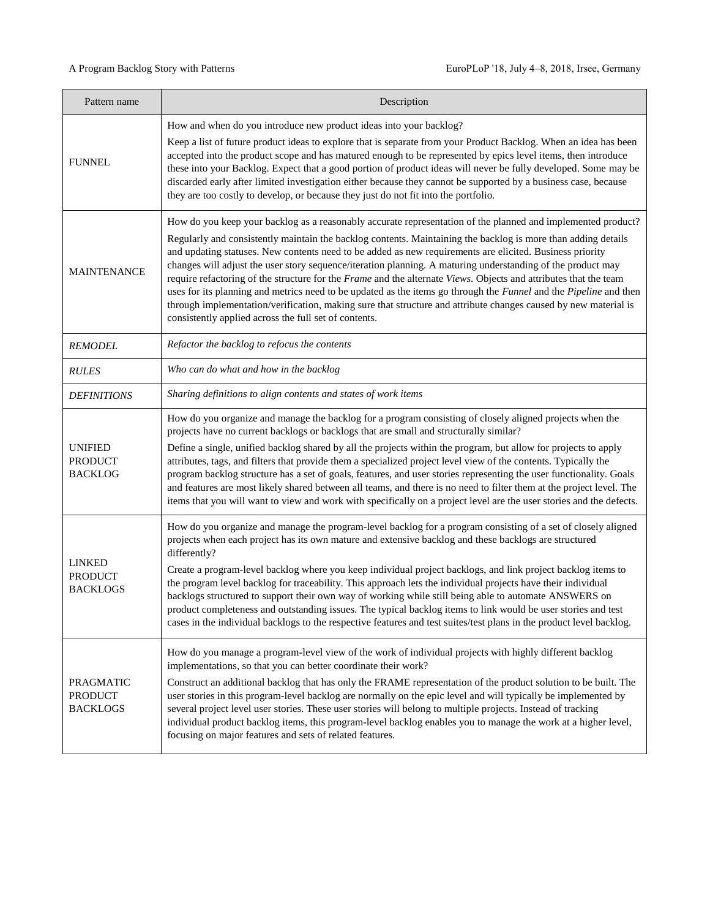| Pattern name                                       | Description                                                                                                                                                                                                                                                                                                                                                                                                                                                                                                                                                                                                                                                                                                                                                                                                                                                                   |
|----------------------------------------------------|-------------------------------------------------------------------------------------------------------------------------------------------------------------------------------------------------------------------------------------------------------------------------------------------------------------------------------------------------------------------------------------------------------------------------------------------------------------------------------------------------------------------------------------------------------------------------------------------------------------------------------------------------------------------------------------------------------------------------------------------------------------------------------------------------------------------------------------------------------------------------------|
| <b>FUNNEL</b>                                      | How and when do you introduce new product ideas into your backlog?<br>Keep a list of future product ideas to explore that is separate from your Product Backlog. When an idea has been<br>accepted into the product scope and has matured enough to be represented by epics level items, then introduce<br>these into your Backlog. Expect that a good portion of product ideas will never be fully developed. Some may be<br>discarded early after limited investigation either because they cannot be supported by a business case, because<br>they are too costly to develop, or because they just do not fit into the portfolio.                                                                                                                                                                                                                                          |
| <b>MAINTENANCE</b>                                 | How do you keep your backlog as a reasonably accurate representation of the planned and implemented product?<br>Regularly and consistently maintain the backlog contents. Maintaining the backlog is more than adding details<br>and updating statuses. New contents need to be added as new requirements are elicited. Business priority<br>changes will adjust the user story sequence/iteration planning. A maturing understanding of the product may<br>require refactoring of the structure for the Frame and the alternate Views. Objects and attributes that the team<br>uses for its planning and metrics need to be updated as the items go through the Funnel and the Pipeline and then<br>through implementation/verification, making sure that structure and attribute changes caused by new material is<br>consistently applied across the full set of contents. |
| <b>REMODEL</b>                                     | Refactor the backlog to refocus the contents                                                                                                                                                                                                                                                                                                                                                                                                                                                                                                                                                                                                                                                                                                                                                                                                                                  |
| <b>RULES</b>                                       | Who can do what and how in the backlog                                                                                                                                                                                                                                                                                                                                                                                                                                                                                                                                                                                                                                                                                                                                                                                                                                        |
| <b>DEFINITIONS</b>                                 | Sharing definitions to align contents and states of work items                                                                                                                                                                                                                                                                                                                                                                                                                                                                                                                                                                                                                                                                                                                                                                                                                |
| <b>UNIFIED</b><br><b>PRODUCT</b><br><b>BACKLOG</b> | How do you organize and manage the backlog for a program consisting of closely aligned projects when the<br>projects have no current backlogs or backlogs that are small and structurally similar?<br>Define a single, unified backlog shared by all the projects within the program, but allow for projects to apply<br>attributes, tags, and filters that provide them a specialized project level view of the contents. Typically the<br>program backlog structure has a set of goals, features, and user stories representing the user functionality. Goals<br>and features are most likely shared between all teams, and there is no need to filter them at the project level. The<br>items that you will want to view and work with specifically on a project level are the user stories and the defects.                                                               |
| LINKED<br><b>PRODUCT</b><br><b>BACKLOGS</b>        | How do you organize and manage the program-level backlog for a program consisting of a set of closely aligned<br>projects when each project has its own mature and extensive backlog and these backlogs are structured<br>differently?<br>Create a program-level backlog where you keep individual project backlogs, and link project backlog items to<br>the program level backlog for traceability. This approach lets the individual projects have their individual<br>backlogs structured to support their own way of working while still being able to automate ANSWERS on<br>product completeness and outstanding issues. The typical backlog items to link would be user stories and test<br>cases in the individual backlogs to the respective features and test suites/test plans in the product level backlog.                                                      |
| PRAGMATIC<br><b>PRODUCT</b><br><b>BACKLOGS</b>     | How do you manage a program-level view of the work of individual projects with highly different backlog<br>implementations, so that you can better coordinate their work?<br>Construct an additional backlog that has only the FRAME representation of the product solution to be built. The<br>user stories in this program-level backlog are normally on the epic level and will typically be implemented by<br>several project level user stories. These user stories will belong to multiple projects. Instead of tracking<br>individual product backlog items, this program-level backlog enables you to manage the work at a higher level,<br>focusing on major features and sets of related features.                                                                                                                                                                  |